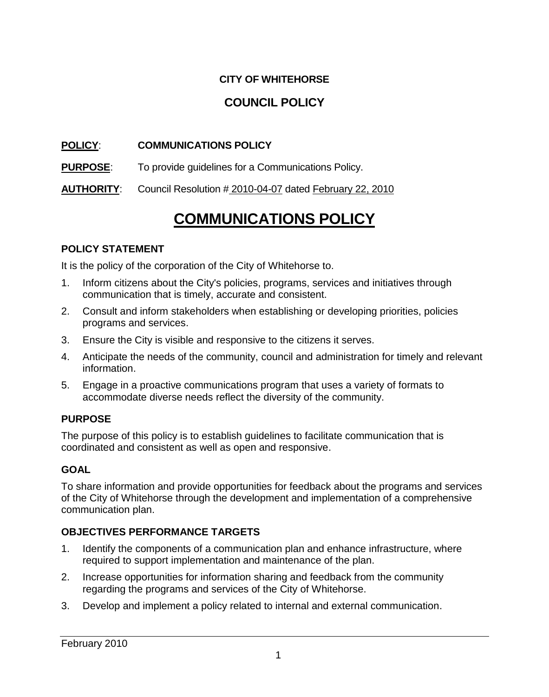# **CITY OF WHITEHORSE**

# **COUNCIL POLICY**

## **POLICY**: **COMMUNICATIONS POLICY**

**PURPOSE**: To provide guidelines for a Communications Policy.

**AUTHORITY**: Council Resolution # 2010-04-07 dated February 22, 2010

# **COMMUNICATIONS POLICY**

### **POLICY STATEMENT**

It is the policy of the corporation of the City of Whitehorse to.

- 1. Inform citizens about the City's policies, programs, services and initiatives through communication that is timely, accurate and consistent.
- 2. Consult and inform stakeholders when establishing or developing priorities, policies programs and services.
- 3. Ensure the City is visible and responsive to the citizens it serves.
- 4. Anticipate the needs of the community, council and administration for timely and relevant information.
- 5. Engage in a proactive communications program that uses a variety of formats to accommodate diverse needs reflect the diversity of the community.

#### **PURPOSE**

The purpose of this policy is to establish guidelines to facilitate communication that is coordinated and consistent as well as open and responsive.

### **GOAL**

To share information and provide opportunities for feedback about the programs and services of the City of Whitehorse through the development and implementation of a comprehensive communication plan.

### **OBJECTIVES PERFORMANCE TARGETS**

- 1. Identify the components of a communication plan and enhance infrastructure, where required to support implementation and maintenance of the plan.
- 2. Increase opportunities for information sharing and feedback from the community regarding the programs and services of the City of Whitehorse.
- 3. Develop and implement a policy related to internal and external communication.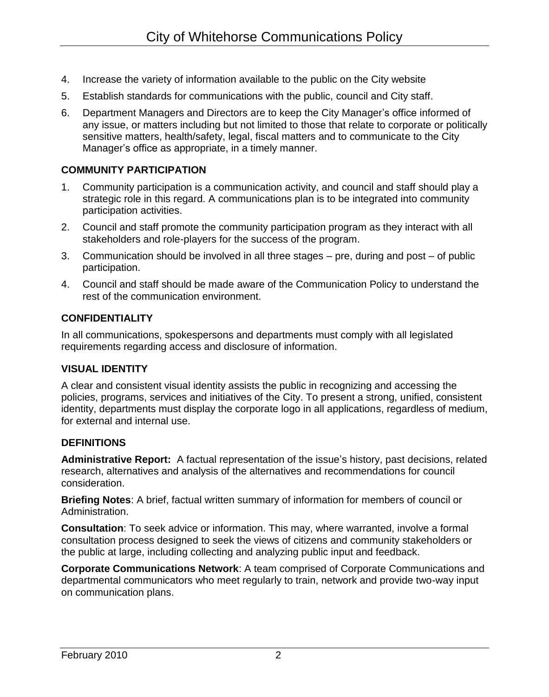- 4. Increase the variety of information available to the public on the City website
- 5. Establish standards for communications with the public, council and City staff.
- 6. Department Managers and Directors are to keep the City Manager's office informed of any issue, or matters including but not limited to those that relate to corporate or politically sensitive matters, health/safety, legal, fiscal matters and to communicate to the City Manager's office as appropriate, in a timely manner.

### **COMMUNITY PARTICIPATION**

- 1. Community participation is a communication activity, and council and staff should play a strategic role in this regard. A communications plan is to be integrated into community participation activities.
- 2. Council and staff promote the community participation program as they interact with all stakeholders and role-players for the success of the program.
- 3. Communication should be involved in all three stages pre, during and post of public participation.
- 4. Council and staff should be made aware of the Communication Policy to understand the rest of the communication environment.

### **CONFIDENTIALITY**

In all communications, spokespersons and departments must comply with all legislated requirements regarding access and disclosure of information.

### **VISUAL IDENTITY**

A clear and consistent visual identity assists the public in recognizing and accessing the policies, programs, services and initiatives of the City. To present a strong, unified, consistent identity, departments must display the corporate logo in all applications, regardless of medium, for external and internal use.

### **DEFINITIONS**

**Administrative Report:** A factual representation of the issue's history, past decisions, related research, alternatives and analysis of the alternatives and recommendations for council consideration.

**Briefing Notes**: A brief, factual written summary of information for members of council or Administration.

**Consultation**: To seek advice or information. This may, where warranted, involve a formal consultation process designed to seek the views of citizens and community stakeholders or the public at large, including collecting and analyzing public input and feedback.

**Corporate Communications Network**: A team comprised of Corporate Communications and departmental communicators who meet regularly to train, network and provide two-way input on communication plans.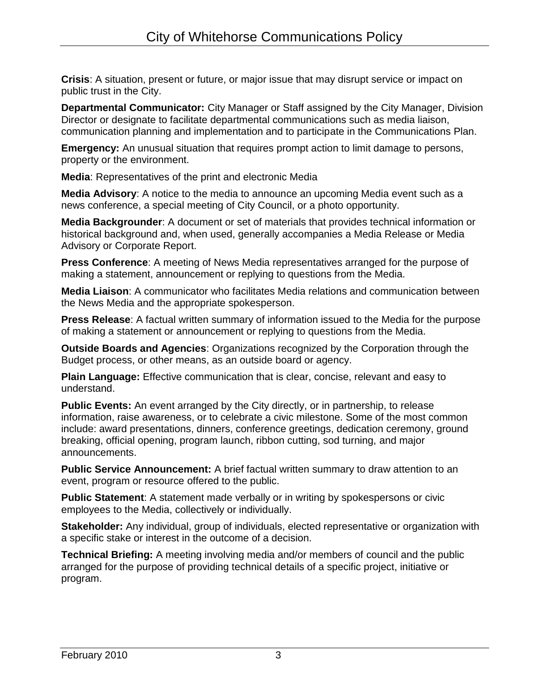**Crisis**: A situation, present or future, or major issue that may disrupt service or impact on public trust in the City.

**Departmental Communicator:** City Manager or Staff assigned by the City Manager, Division Director or designate to facilitate departmental communications such as media liaison, communication planning and implementation and to participate in the Communications Plan.

**Emergency:** An unusual situation that requires prompt action to limit damage to persons, property or the environment.

**Media**: Representatives of the print and electronic Media

**Media Advisory**: A notice to the media to announce an upcoming Media event such as a news conference, a special meeting of City Council, or a photo opportunity.

**Media Backgrounder**: A document or set of materials that provides technical information or historical background and, when used, generally accompanies a Media Release or Media Advisory or Corporate Report.

**Press Conference**: A meeting of News Media representatives arranged for the purpose of making a statement, announcement or replying to questions from the Media.

**Media Liaison**: A communicator who facilitates Media relations and communication between the News Media and the appropriate spokesperson.

**Press Release**: A factual written summary of information issued to the Media for the purpose of making a statement or announcement or replying to questions from the Media.

**Outside Boards and Agencies**: Organizations recognized by the Corporation through the Budget process, or other means, as an outside board or agency.

**Plain Language:** Effective communication that is clear, concise, relevant and easy to understand.

**Public Events:** An event arranged by the City directly, or in partnership, to release information, raise awareness, or to celebrate a civic milestone. Some of the most common include: award presentations, dinners, conference greetings, dedication ceremony, ground breaking, official opening, program launch, ribbon cutting, sod turning, and major announcements.

**Public Service Announcement:** A brief factual written summary to draw attention to an event, program or resource offered to the public.

**Public Statement**: A statement made verbally or in writing by spokespersons or civic employees to the Media, collectively or individually.

**Stakeholder:** Any individual, group of individuals, elected representative or organization with a specific stake or interest in the outcome of a decision.

**Technical Briefing:** A meeting involving media and/or members of council and the public arranged for the purpose of providing technical details of a specific project, initiative or program.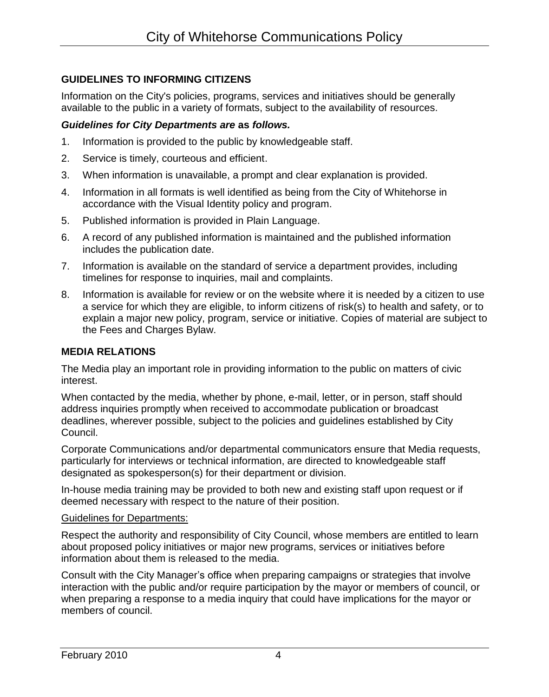### **GUIDELINES TO INFORMING CITIZENS**

Information on the City's policies, programs, services and initiatives should be generally available to the public in a variety of formats, subject to the availability of resources.

#### *Guidelines for City Departments are* **as** *follows.*

- 1. Information is provided to the public by knowledgeable staff.
- 2. Service is timely, courteous and efficient.
- 3. When information is unavailable, a prompt and clear explanation is provided.
- 4. Information in all formats is well identified as being from the City of Whitehorse in accordance with the Visual Identity policy and program.
- 5. Published information is provided in Plain Language.
- 6. A record of any published information is maintained and the published information includes the publication date.
- 7. Information is available on the standard of service a department provides, including timelines for response to inquiries, mail and complaints.
- 8. Information is available for review or on the website where it is needed by a citizen to use a service for which they are eligible, to inform citizens of risk(s) to health and safety, or to explain a major new policy, program, service or initiative. Copies of material are subject to the Fees and Charges Bylaw.

### **MEDIA RELATIONS**

The Media play an important role in providing information to the public on matters of civic interest.

When contacted by the media, whether by phone, e-mail, letter, or in person, staff should address inquiries promptly when received to accommodate publication or broadcast deadlines, wherever possible, subject to the policies and guidelines established by City Council.

Corporate Communications and/or departmental communicators ensure that Media requests, particularly for interviews or technical information, are directed to knowledgeable staff designated as spokesperson(s) for their department or division.

In-house media training may be provided to both new and existing staff upon request or if deemed necessary with respect to the nature of their position.

#### Guidelines for Departments:

Respect the authority and responsibility of City Council, whose members are entitled to learn about proposed policy initiatives or major new programs, services or initiatives before information about them is released to the media.

Consult with the City Manager's office when preparing campaigns or strategies that involve interaction with the public and/or require participation by the mayor or members of council, or when preparing a response to a media inquiry that could have implications for the mayor or members of council.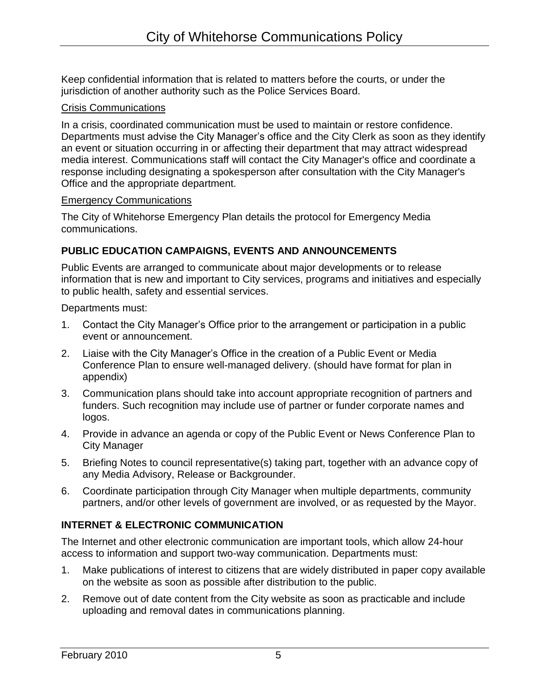Keep confidential information that is related to matters before the courts, or under the jurisdiction of another authority such as the Police Services Board.

### Crisis Communications

In a crisis, coordinated communication must be used to maintain or restore confidence. Departments must advise the City Manager's office and the City Clerk as soon as they identify an event or situation occurring in or affecting their department that may attract widespread media interest. Communications staff will contact the City Manager's office and coordinate a response including designating a spokesperson after consultation with the City Manager's Office and the appropriate department.

### Emergency Communications

The City of Whitehorse Emergency Plan details the protocol for Emergency Media communications.

# **PUBLIC EDUCATION CAMPAIGNS, EVENTS AND ANNOUNCEMENTS**

Public Events are arranged to communicate about major developments or to release information that is new and important to City services, programs and initiatives and especially to public health, safety and essential services.

Departments must:

- 1. Contact the City Manager's Office prior to the arrangement or participation in a public event or announcement.
- 2. Liaise with the City Manager's Office in the creation of a Public Event or Media Conference Plan to ensure well-managed delivery. (should have format for plan in appendix)
- 3. Communication plans should take into account appropriate recognition of partners and funders. Such recognition may include use of partner or funder corporate names and logos.
- 4. Provide in advance an agenda or copy of the Public Event or News Conference Plan to City Manager
- 5. Briefing Notes to council representative(s) taking part, together with an advance copy of any Media Advisory, Release or Backgrounder.
- 6. Coordinate participation through City Manager when multiple departments, community partners, and/or other levels of government are involved, or as requested by the Mayor.

# **INTERNET & ELECTRONIC COMMUNICATION**

The Internet and other electronic communication are important tools, which allow 24-hour access to information and support two-way communication. Departments must:

- 1. Make publications of interest to citizens that are widely distributed in paper copy available on the website as soon as possible after distribution to the public.
- 2. Remove out of date content from the City website as soon as practicable and include uploading and removal dates in communications planning.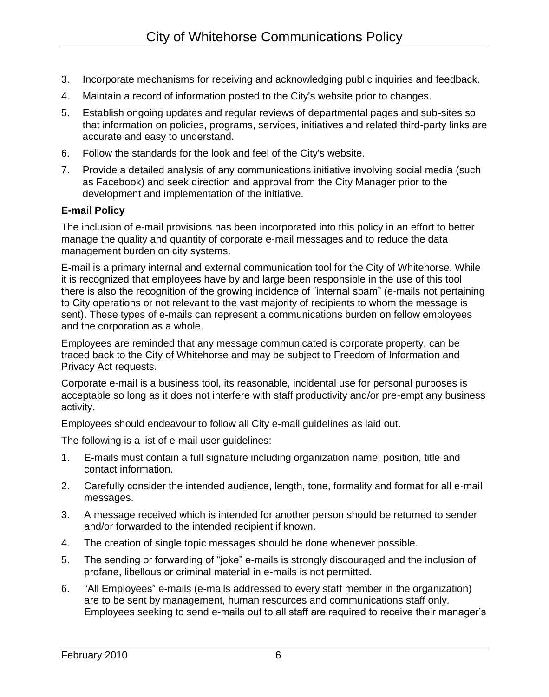- 3. Incorporate mechanisms for receiving and acknowledging public inquiries and feedback.
- 4. Maintain a record of information posted to the City's website prior to changes.
- 5. Establish ongoing updates and regular reviews of departmental pages and sub-sites so that information on policies, programs, services, initiatives and related third-party links are accurate and easy to understand.
- 6. Follow the standards for the look and feel of the City's website.
- 7. Provide a detailed analysis of any communications initiative involving social media (such as Facebook) and seek direction and approval from the City Manager prior to the development and implementation of the initiative.

# **E-mail Policy**

The inclusion of e-mail provisions has been incorporated into this policy in an effort to better manage the quality and quantity of corporate e-mail messages and to reduce the data management burden on city systems.

E-mail is a primary internal and external communication tool for the City of Whitehorse. While it is recognized that employees have by and large been responsible in the use of this tool there is also the recognition of the growing incidence of "internal spam" (e-mails not pertaining to City operations or not relevant to the vast majority of recipients to whom the message is sent). These types of e-mails can represent a communications burden on fellow employees and the corporation as a whole.

Employees are reminded that any message communicated is corporate property, can be traced back to the City of Whitehorse and may be subject to Freedom of Information and Privacy Act requests.

Corporate e-mail is a business tool, its reasonable, incidental use for personal purposes is acceptable so long as it does not interfere with staff productivity and/or pre-empt any business activity.

Employees should endeavour to follow all City e-mail guidelines as laid out.

The following is a list of e-mail user guidelines:

- 1. E-mails must contain a full signature including organization name, position, title and contact information.
- 2. Carefully consider the intended audience, length, tone, formality and format for all e-mail messages.
- 3. A message received which is intended for another person should be returned to sender and/or forwarded to the intended recipient if known.
- 4. The creation of single topic messages should be done whenever possible.
- 5. The sending or forwarding of "joke" e-mails is strongly discouraged and the inclusion of profane, libellous or criminal material in e-mails is not permitted.
- 6. "All Employees" e-mails (e-mails addressed to every staff member in the organization) are to be sent by management, human resources and communications staff only. Employees seeking to send e-mails out to all staff are required to receive their manager's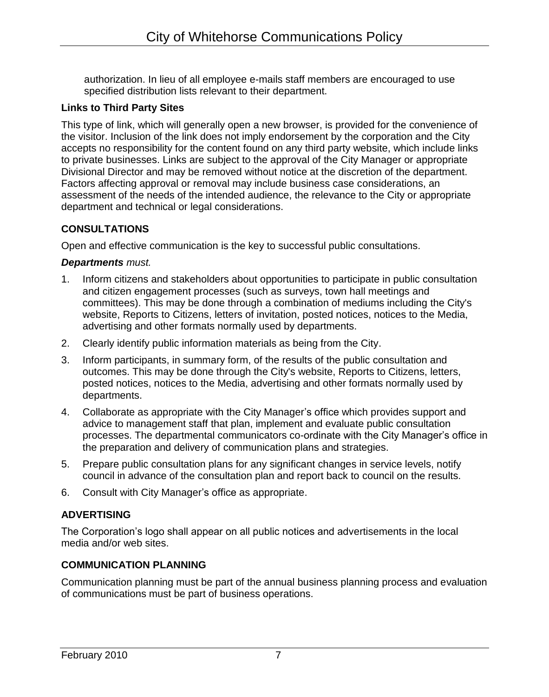authorization. In lieu of all employee e-mails staff members are encouraged to use specified distribution lists relevant to their department.

## **Links to Third Party Sites**

This type of link, which will generally open a new browser, is provided for the convenience of the visitor. Inclusion of the link does not imply endorsement by the corporation and the City accepts no responsibility for the content found on any third party website, which include links to private businesses. Links are subject to the approval of the City Manager or appropriate Divisional Director and may be removed without notice at the discretion of the department. Factors affecting approval or removal may include business case considerations, an assessment of the needs of the intended audience, the relevance to the City or appropriate department and technical or legal considerations.

# **CONSULTATIONS**

Open and effective communication is the key to successful public consultations.

### *Departments must.*

- 1. Inform citizens and stakeholders about opportunities to participate in public consultation and citizen engagement processes (such as surveys, town hall meetings and committees). This may be done through a combination of mediums including the City's website, Reports to Citizens, letters of invitation, posted notices, notices to the Media, advertising and other formats normally used by departments.
- 2. Clearly identify public information materials as being from the City.
- 3. Inform participants, in summary form, of the results of the public consultation and outcomes. This may be done through the City's website, Reports to Citizens, letters, posted notices, notices to the Media, advertising and other formats normally used by departments.
- 4. Collaborate as appropriate with the City Manager's office which provides support and advice to management staff that plan, implement and evaluate public consultation processes. The departmental communicators co-ordinate with the City Manager's office in the preparation and delivery of communication plans and strategies.
- 5. Prepare public consultation plans for any significant changes in service levels, notify council in advance of the consultation plan and report back to council on the results.
- 6. Consult with City Manager's office as appropriate.

# **ADVERTISING**

The Corporation's logo shall appear on all public notices and advertisements in the local media and/or web sites.

# **COMMUNICATION PLANNING**

Communication planning must be part of the annual business planning process and evaluation of communications must be part of business operations.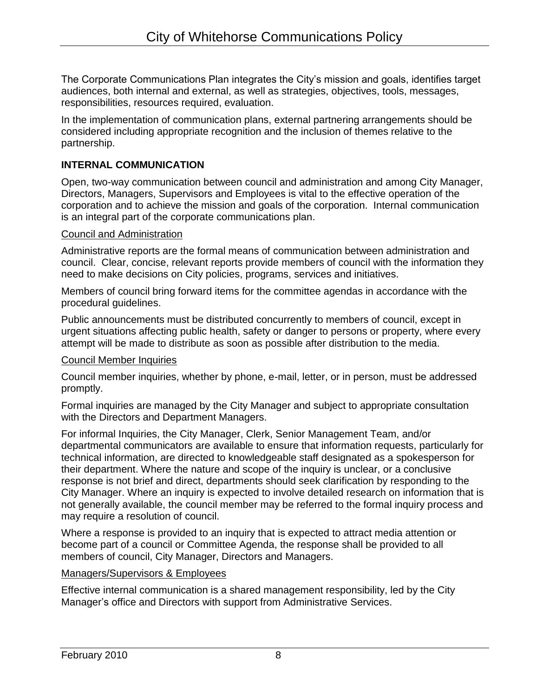The Corporate Communications Plan integrates the City's mission and goals, identifies target audiences, both internal and external, as well as strategies, objectives, tools, messages, responsibilities, resources required, evaluation.

In the implementation of communication plans, external partnering arrangements should be considered including appropriate recognition and the inclusion of themes relative to the partnership.

## **INTERNAL COMMUNICATION**

Open, two-way communication between council and administration and among City Manager, Directors, Managers, Supervisors and Employees is vital to the effective operation of the corporation and to achieve the mission and goals of the corporation. Internal communication is an integral part of the corporate communications plan.

#### Council and Administration

Administrative reports are the formal means of communication between administration and council. Clear, concise, relevant reports provide members of council with the information they need to make decisions on City policies, programs, services and initiatives.

Members of council bring forward items for the committee agendas in accordance with the procedural guidelines.

Public announcements must be distributed concurrently to members of council, except in urgent situations affecting public health, safety or danger to persons or property, where every attempt will be made to distribute as soon as possible after distribution to the media.

### Council Member Inquiries

Council member inquiries, whether by phone, e-mail, letter, or in person, must be addressed promptly.

Formal inquiries are managed by the City Manager and subject to appropriate consultation with the Directors and Department Managers.

For informal Inquiries, the City Manager, Clerk, Senior Management Team, and/or departmental communicators are available to ensure that information requests, particularly for technical information, are directed to knowledgeable staff designated as a spokesperson for their department. Where the nature and scope of the inquiry is unclear, or a conclusive response is not brief and direct, departments should seek clarification by responding to the City Manager. Where an inquiry is expected to involve detailed research on information that is not generally available, the council member may be referred to the formal inquiry process and may require a resolution of council.

Where a response is provided to an inquiry that is expected to attract media attention or become part of a council or Committee Agenda, the response shall be provided to all members of council, City Manager, Directors and Managers.

### Managers/Supervisors & Employees

Effective internal communication is a shared management responsibility, led by the City Manager's office and Directors with support from Administrative Services.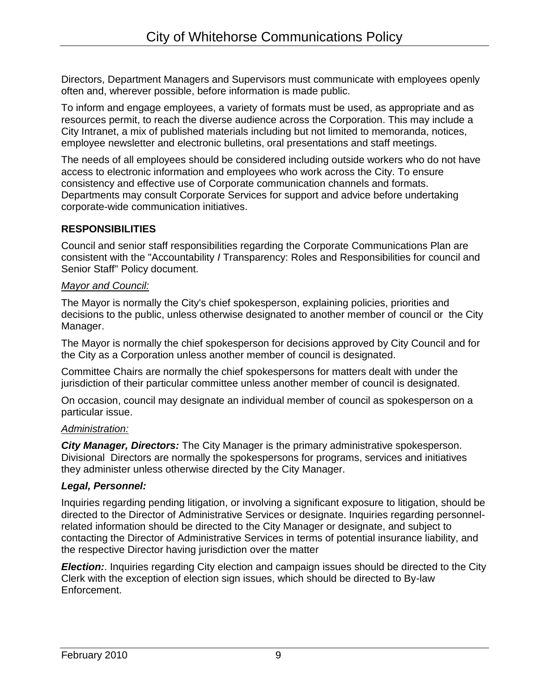Directors, Department Managers and Supervisors must communicate with employees openly often and, wherever possible, before information is made public.

To inform and engage employees, a variety of formats must be used, as appropriate and as resources permit, to reach the diverse audience across the Corporation. This may include a City Intranet, a mix of published materials including but not limited to memoranda, notices, employee newsletter and electronic bulletins, oral presentations and staff meetings.

The needs of all employees should be considered including outside workers who do not have access to electronic information and employees who work across the City. To ensure consistency and effective use of Corporate communication channels and formats. Departments may consult Corporate Services for support and advice before undertaking corporate-wide communication initiatives.

# **RESPONSIBILITIES**

Council and senior staff responsibilities regarding the Corporate Communications Plan are consistent with the "Accountability *I* Transparency: Roles and Responsibilities for council and Senior Staff" Policy document.

### *Mayor and Council:*

The Mayor is normally the City's chief spokesperson, explaining policies, priorities and decisions to the public, unless otherwise designated to another member of council or the City Manager.

The Mayor is normally the chief spokesperson for decisions approved by City Council and for the City as a Corporation unless another member of council is designated.

Committee Chairs are normally the chief spokespersons for matters dealt with under the jurisdiction of their particular committee unless another member of council is designated.

On occasion, council may designate an individual member of council as spokesperson on a particular issue.

### *Administration:*

*City Manager, Directors:* The City Manager is the primary administrative spokesperson. Divisional Directors are normally the spokespersons for programs, services and initiatives they administer unless otherwise directed by the City Manager.

# *Legal, Personnel:*

Inquiries regarding pending litigation, or involving a significant exposure to litigation, should be directed to the Director of Administrative Services or designate. Inquiries regarding personnelrelated information should be directed to the City Manager or designate, and subject to contacting the Director of Administrative Services in terms of potential insurance liability, and the respective Director having jurisdiction over the matter

**Election:**. Inquiries regarding City election and campaign issues should be directed to the City Clerk with the exception of election sign issues, which should be directed to By-law Enforcement.